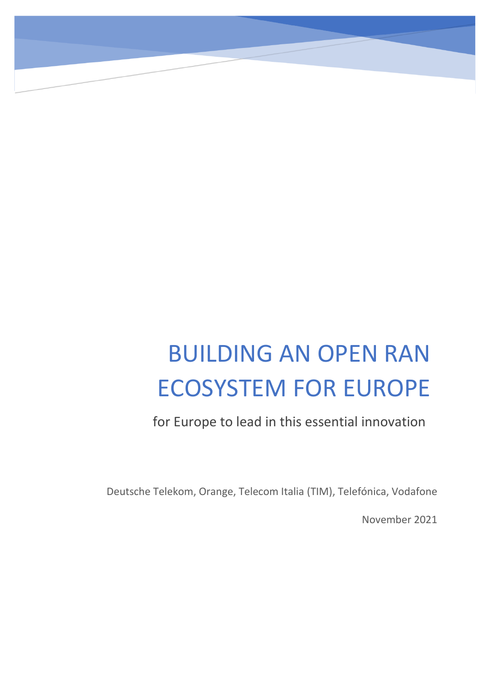# BUILDING AN OPEN RAN ECOSYSTEM FOR EUROPE

for Europe to lead in this essential innovation

Deutsche Telekom, Orange, Telecom Italia (TIM), Telefónica, Vodafone

November 2021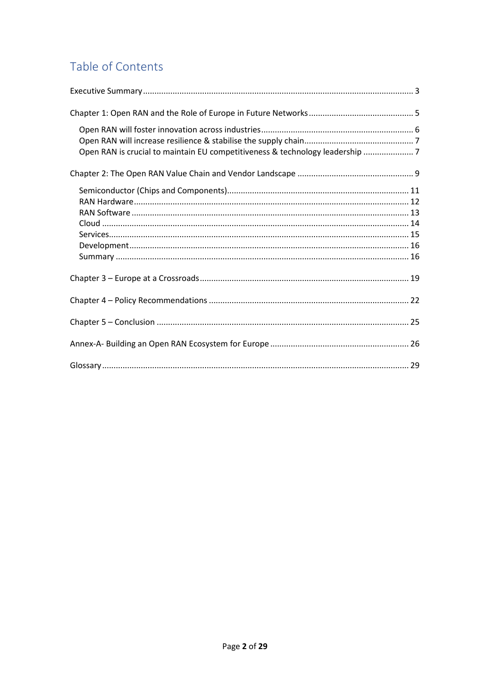# Table of Contents

| Open RAN is crucial to maintain EU competitiveness & technology leadership 7 |
|------------------------------------------------------------------------------|
|                                                                              |
|                                                                              |
|                                                                              |
|                                                                              |
|                                                                              |
|                                                                              |
|                                                                              |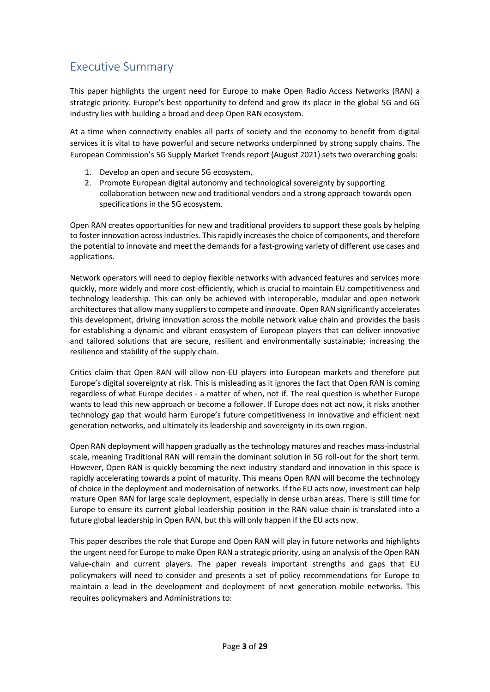# <span id="page-2-0"></span>Executive Summary

This paper highlights the urgent need for Europe to make Open Radio Access Networks (RAN) a strategic priority. Europe's best opportunity to defend and grow its place in the global 5G and 6G industry lies with building a broad and deep Open RAN ecosystem.

At a time when connectivity enables all parts of society and the economy to benefit from digital services it is vital to have powerful and secure networks underpinned by strong supply chains. The European Commission's 5G Supply Market Trends report (August 2021) sets two overarching goals:

- 1. Develop an open and secure 5G ecosystem,
- 2. Promote European digital autonomy and technological sovereignty by supporting collaboration between new and traditional vendors and a strong approach towards open specifications in the 5G ecosystem.

Open RAN creates opportunities for new and traditional providers to support these goals by helping to foster innovation across industries. This rapidly increases the choice of components, and therefore the potential to innovate and meet the demands for a fast-growing variety of different use cases and applications.

Network operators will need to deploy flexible networks with advanced features and services more quickly, more widely and more cost-efficiently, which is crucial to maintain EU competitiveness and technology leadership. This can only be achieved with interoperable, modular and open network architectures that allow many suppliers to compete and innovate. Open RAN significantly accelerates this development, driving innovation across the mobile network value chain and provides the basis for establishing a dynamic and vibrant ecosystem of European players that can deliver innovative and tailored solutions that are secure, resilient and environmentally sustainable; increasing the resilience and stability of the supply chain.

Critics claim that Open RAN will allow non-EU players into European markets and therefore put Europe's digital sovereignty at risk. This is misleading as it ignores the fact that Open RAN is coming regardless of what Europe decides - a matter of when, not if. The real question is whether Europe wants to lead this new approach or become a follower. If Europe does not act now, it risks another technology gap that would harm Europe's future competitiveness in innovative and efficient next generation networks, and ultimately its leadership and sovereignty in its own region.

Open RAN deployment will happen gradually as the technology matures and reaches mass-industrial scale, meaning Traditional RAN will remain the dominant solution in 5G roll-out for the short term. However, Open RAN is quickly becoming the next industry standard and innovation in this space is rapidly accelerating towards a point of maturity. This means Open RAN will become the technology of choice in the deployment and modernisation of networks. If the EU acts now, investment can help mature Open RAN for large scale deployment, especially in dense urban areas. There is still time for Europe to ensure its current global leadership position in the RAN value chain is translated into a future global leadership in Open RAN, but this will only happen if the EU acts now.

This paper describes the role that Europe and Open RAN will play in future networks and highlights the urgent need for Europe to make Open RAN a strategic priority, using an analysis of the Open RAN value-chain and current players. The paper reveals important strengths and gaps that EU policymakers will need to consider and presents a set of policy recommendations for Europe to maintain a lead in the development and deployment of next generation mobile networks. This requires policymakers and Administrations to: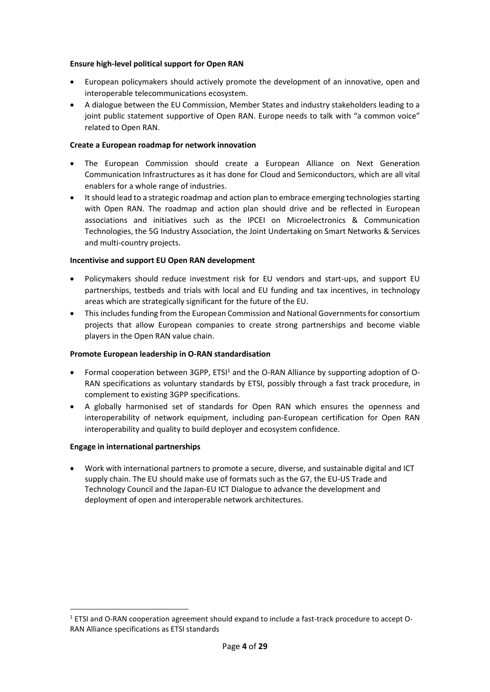#### **Ensure high-level political support for Open RAN**

- European policymakers should actively promote the development of an innovative, open and interoperable telecommunications ecosystem.
- A dialogue between the EU Commission, Member States and industry stakeholders leading to a joint public statement supportive of Open RAN. Europe needs to talk with "a common voice" related to Open RAN.

#### **Create a European roadmap for network innovation**

- The European Commission should create a European Alliance on Next Generation Communication Infrastructures as it has done for Cloud and Semiconductors, which are all vital enablers for a whole range of industries.
- It should lead to a strategic roadmap and action plan to embrace emerging technologies starting with Open RAN. The roadmap and action plan should drive and be reflected in European associations and initiatives such as the IPCEI on Microelectronics & Communication Technologies, the 5G Industry Association, the Joint Undertaking on Smart Networks & Services and multi-country projects.

#### **Incentivise and support EU Open RAN development**

- Policymakers should reduce investment risk for EU vendors and start-ups, and support EU partnerships, testbeds and trials with local and EU funding and tax incentives, in technology areas which are strategically significant for the future of the EU.
- Thisincludes funding from the European Commission and National Governments for consortium projects that allow European companies to create strong partnerships and become viable players in the Open RAN value chain.

#### **Promote European leadership in O-RAN standardisation**

- Formal cooperation between 3GPP, ETSI<sup>1</sup> and the O-RAN Alliance by supporting adoption of O-RAN specifications as voluntary standards by ETSI, possibly through a fast track procedure, in complement to existing 3GPP specifications.
- A globally harmonised set of standards for Open RAN which ensures the openness and interoperability of network equipment, including pan-European certification for Open RAN interoperability and quality to build deployer and ecosystem confidence.

#### **Engage in international partnerships**

• Work with international partners to promote a secure, diverse, and sustainable digital and ICT supply chain. The EU should make use of formats such as the G7, the EU-US Trade and Technology Council and the Japan-EU ICT Dialogue to advance the development and deployment of open and interoperable network architectures.

<sup>1</sup> ETSI and O-RAN cooperation agreement should expand to include a fast-track procedure to accept O-RAN Alliance specifications as ETSI standards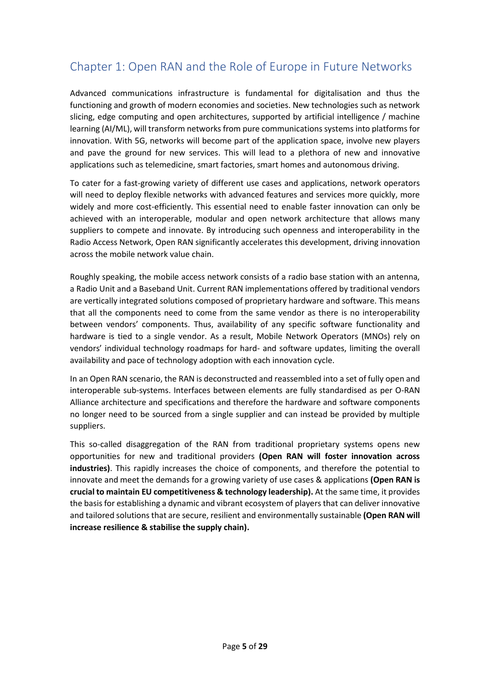# <span id="page-4-0"></span>Chapter 1: Open RAN and the Role of Europe in Future Networks

Advanced communications infrastructure is fundamental for digitalisation and thus the functioning and growth of modern economies and societies. New technologies such as network slicing, edge computing and open architectures, supported by artificial intelligence / machine learning (AI/ML), will transform networks from pure communications systems into platforms for innovation. With 5G, networks will become part of the application space, involve new players and pave the ground for new services. This will lead to a plethora of new and innovative applications such as telemedicine, smart factories, smart homes and autonomous driving.

To cater for a fast-growing variety of different use cases and applications, network operators will need to deploy flexible networks with advanced features and services more quickly, more widely and more cost-efficiently. This essential need to enable faster innovation can only be achieved with an interoperable, modular and open network architecture that allows many suppliers to compete and innovate. By introducing such openness and interoperability in the Radio Access Network, Open RAN significantly accelerates this development, driving innovation across the mobile network value chain.

Roughly speaking, the mobile access network consists of a radio base station with an antenna, a Radio Unit and a Baseband Unit. Current RAN implementations offered by traditional vendors are vertically integrated solutions composed of proprietary hardware and software. This means that all the components need to come from the same vendor as there is no interoperability between vendors' components. Thus, availability of any specific software functionality and hardware is tied to a single vendor. As a result, Mobile Network Operators (MNOs) rely on vendors' individual technology roadmaps for hard- and software updates, limiting the overall availability and pace of technology adoption with each innovation cycle.

In an Open RAN scenario, the RAN is deconstructed and reassembled into a set of fully open and interoperable sub-systems. Interfaces between elements are fully standardised as per O-RAN Alliance architecture and specifications and therefore the hardware and software components no longer need to be sourced from a single supplier and can instead be provided by multiple suppliers.

This so-called disaggregation of the RAN from traditional proprietary systems opens new opportunities for new and traditional providers **(Open RAN will foster innovation across industries)**. This rapidly increases the choice of components, and therefore the potential to innovate and meet the demands for a growing variety of use cases & applications **(Open RAN is crucial to maintain EU competitiveness & technology leadership).** At the same time, it provides the basis for establishing a dynamic and vibrant ecosystem of players that can deliver innovative and tailored solutions that are secure, resilient and environmentally sustainable **(Open RAN will increase resilience & stabilise the supply chain).**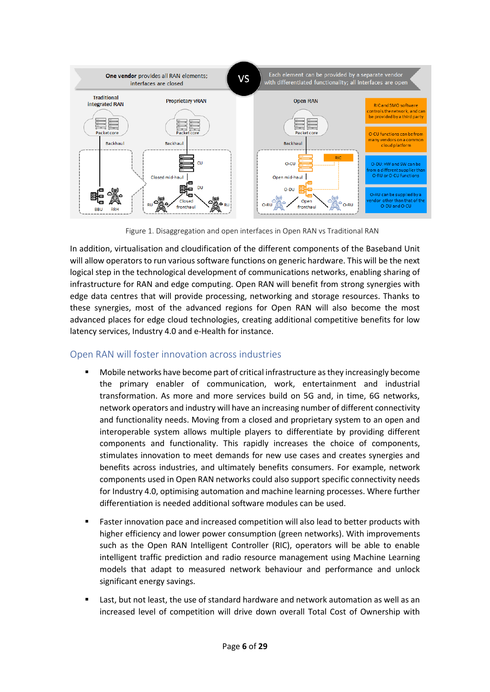

Figure 1. Disaggregation and open interfaces in Open RAN vs Traditional RAN

In addition, virtualisation and cloudification of the different components of the Baseband Unit will allow operators to run various software functions on generic hardware. This will be the next logical step in the technological development of communications networks, enabling sharing of infrastructure for RAN and edge computing. Open RAN will benefit from strong synergies with edge data centres that will provide processing, networking and storage resources. Thanks to these synergies, most of the advanced regions for Open RAN will also become the most advanced places for edge cloud technologies, creating additional competitive benefits for low latency services, Industry 4.0 and e-Health for instance.

## <span id="page-5-0"></span>Open RAN will foster innovation across industries

- Mobile networks have become part of critical infrastructure as they increasingly become the primary enabler of communication, work, entertainment and industrial transformation. As more and more services build on 5G and, in time, 6G networks, network operators and industry will have an increasing number of different connectivity and functionality needs. Moving from a closed and proprietary system to an open and interoperable system allows multiple players to differentiate by providing different components and functionality. This rapidly increases the choice of components, stimulates innovation to meet demands for new use cases and creates synergies and benefits across industries, and ultimately benefits consumers. For example, network components used in Open RAN networks could also support specific connectivity needs for Industry 4.0, optimising automation and machine learning processes. Where further differentiation is needed additional software modules can be used.
- Faster innovation pace and increased competition will also lead to better products with higher efficiency and lower power consumption (green networks). With improvements such as the Open RAN Intelligent Controller (RIC), operators will be able to enable intelligent traffic prediction and radio resource management using Machine Learning models that adapt to measured network behaviour and performance and unlock significant energy savings.
- Last, but not least, the use of standard hardware and network automation as well as an increased level of competition will drive down overall Total Cost of Ownership with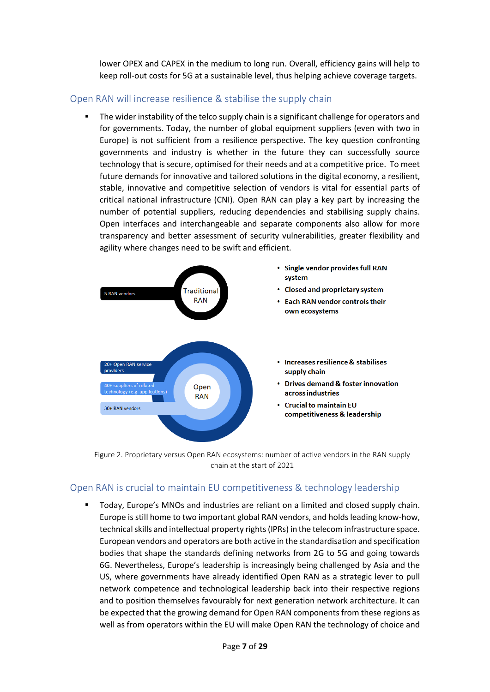lower OPEX and CAPEX in the medium to long run. Overall, efficiency gains will help to keep roll-out costs for 5G at a sustainable level, thus helping achieve coverage targets.

## <span id="page-6-0"></span>Open RAN will increase resilience & stabilise the supply chain

The wider instability of the telco supply chain is a significant challenge for operators and for governments. Today, the number of global equipment suppliers (even with two in Europe) is not sufficient from a resilience perspective. The key question confronting governments and industry is whether in the future they can successfully source technology that is secure, optimised for their needs and at a competitive price. To meet future demands for innovative and tailored solutions in the digital economy, a resilient, stable, innovative and competitive selection of vendors is vital for essential parts of critical national infrastructure (CNI). Open RAN can play a key part by increasing the number of potential suppliers, reducing dependencies and stabilising supply chains. Open interfaces and interchangeable and separate components also allow for more transparency and better assessment of security vulnerabilities, greater flexibility and agility where changes need to be swift and efficient.



Figure 2. Proprietary versus Open RAN ecosystems: number of active vendors in the RAN supply chain at the start of 2021

## <span id="page-6-1"></span>Open RAN is crucial to maintain EU competitiveness & technology leadership

Today, Europe's MNOs and industries are reliant on a limited and closed supply chain. Europe is still home to two important global RAN vendors, and holds leading know-how, technical skills and intellectual property rights (IPRs) in the telecom infrastructure space. European vendors and operators are both active in the standardisation and specification bodies that shape the standards defining networks from 2G to 5G and going towards 6G. Nevertheless, Europe's leadership is increasingly being challenged by Asia and the US, where governments have already identified Open RAN as a strategic lever to pull network competence and technological leadership back into their respective regions and to position themselves favourably for next generation network architecture. It can be expected that the growing demand for Open RAN components from these regions as well as from operators within the EU will make Open RAN the technology of choice and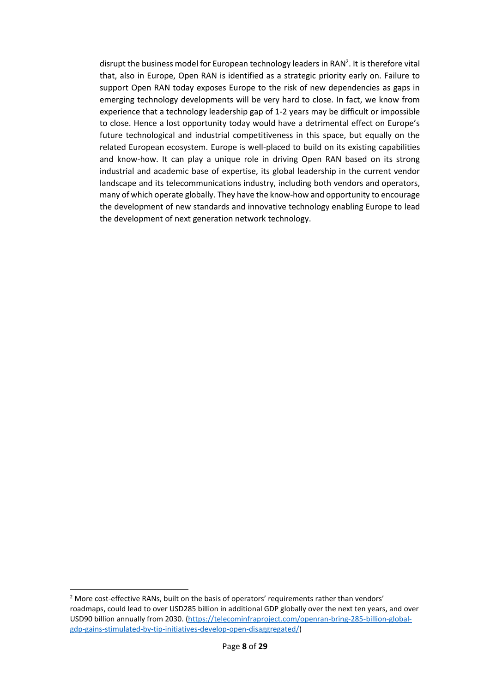disrupt the business model for European technology leaders in RAN<sup>2</sup>. It is therefore vital that, also in Europe, Open RAN is identified as a strategic priority early on. Failure to support Open RAN today exposes Europe to the risk of new dependencies as gaps in emerging technology developments will be very hard to close. In fact, we know from experience that a technology leadership gap of 1-2 years may be difficult or impossible to close. Hence a lost opportunity today would have a detrimental effect on Europe's future technological and industrial competitiveness in this space, but equally on the related European ecosystem. Europe is well-placed to build on its existing capabilities and know-how. It can play a unique role in driving Open RAN based on its strong industrial and academic base of expertise, its global leadership in the current vendor landscape and its telecommunications industry, including both vendors and operators, many of which operate globally. They have the know-how and opportunity to encourage the development of new standards and innovative technology enabling Europe to lead the development of next generation network technology.

<sup>&</sup>lt;sup>2</sup> More cost-effective RANs, built on the basis of operators' requirements rather than vendors' roadmaps, could lead to over USD285 billion in additional GDP globally over the next ten years, and over USD90 billion annually from 2030. [\(https://telecominfraproject.com/openran-bring-285-billion-global](https://telecominfraproject.com/openran-bring-285-billion-global-gdp-gains-stimulated-by-tip-initiatives-develop-open-disaggregated/)[gdp-gains-stimulated-by-tip-initiatives-develop-open-disaggregated/\)](https://telecominfraproject.com/openran-bring-285-billion-global-gdp-gains-stimulated-by-tip-initiatives-develop-open-disaggregated/)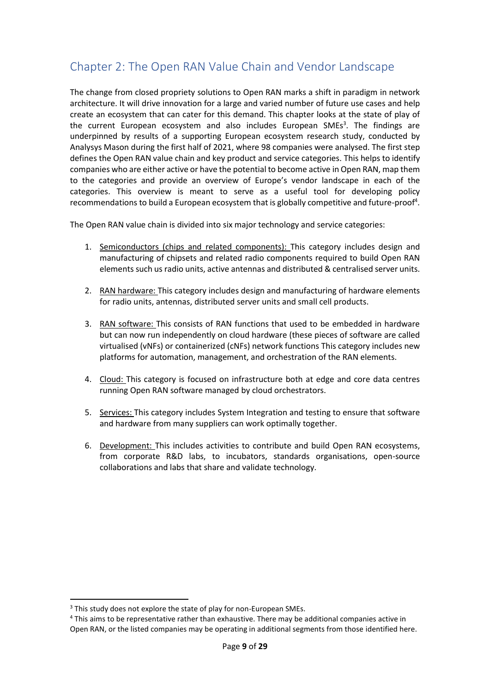# <span id="page-8-0"></span>Chapter 2: The Open RAN Value Chain and Vendor Landscape

The change from closed propriety solutions to Open RAN marks a shift in paradigm in network architecture. It will drive innovation for a large and varied number of future use cases and help create an ecosystem that can cater for this demand. This chapter looks at the state of play of the current European ecosystem and also includes European SMEs $3$ . The findings are underpinned by results of a supporting European ecosystem research study, conducted by Analysys Mason during the first half of 2021, where 98 companies were analysed. The first step defines the Open RAN value chain and key product and service categories. This helps to identify companies who are either active or have the potential to become active in Open RAN, map them to the categories and provide an overview of Europe's vendor landscape in each of the categories. This overview is meant to serve as a useful tool for developing policy recommendations to build a European ecosystem that is globally competitive and future-proof<sup>4</sup>.

The Open RAN value chain is divided into six major technology and service categories:

- 1. Semiconductors (chips and related components): This category includes design and manufacturing of chipsets and related radio components required to build Open RAN elements such us radio units, active antennas and distributed & centralised server units.
- 2. RAN hardware: This category includes design and manufacturing of hardware elements for radio units, antennas, distributed server units and small cell products.
- 3. RAN software: This consists of RAN functions that used to be embedded in hardware but can now run independently on cloud hardware (these pieces of software are called virtualised (vNFs) or containerized (cNFs) network functions This category includes new platforms for automation, management, and orchestration of the RAN elements.
- 4. Cloud: This category is focused on infrastructure both at edge and core data centres running Open RAN software managed by cloud orchestrators.
- 5. Services: This category includes System Integration and testing to ensure that software and hardware from many suppliers can work optimally together.
- 6. Development: This includes activities to contribute and build Open RAN ecosystems, from corporate R&D labs, to incubators, standards organisations, open-source collaborations and labs that share and validate technology.

<sup>&</sup>lt;sup>3</sup> This study does not explore the state of play for non-European SMEs.

<sup>4</sup> This aims to be representative rather than exhaustive. There may be additional companies active in Open RAN, or the listed companies may be operating in additional segments from those identified here.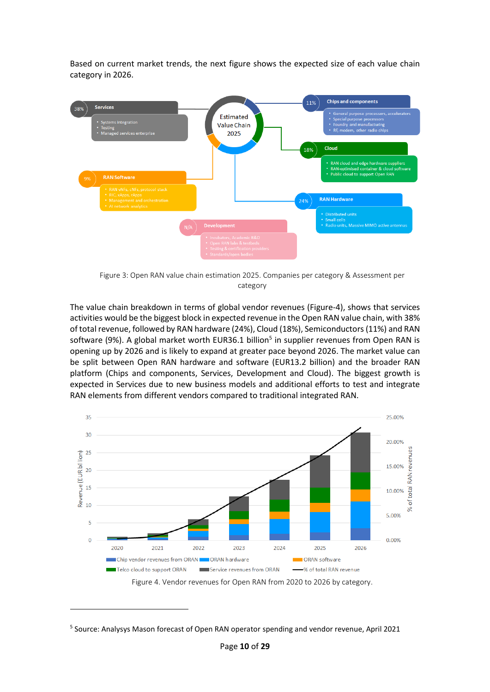Based on current market trends, the next figure shows the expected size of each value chain category in 2026.



Figure 3: Open RAN value chain estimation 2025. Companies per category & Assessment per category

The value chain breakdown in terms of global vendor revenues (Figure-4), shows that services activities would be the biggest block in expected revenue in the Open RAN value chain, with 38% of total revenue, followed by RAN hardware (24%), Cloud (18%), Semiconductors (11%) and RAN software (9%). A global market worth EUR36.1 billion<sup>5</sup> in supplier revenues from Open RAN is opening up by 2026 and is likely to expand at greater pace beyond 2026. The market value can be split between Open RAN hardware and software (EUR13.2 billion) and the broader RAN platform (Chips and components, Services, Development and Cloud). The biggest growth is expected in Services due to new business models and additional efforts to test and integrate RAN elements from different vendors compared to traditional integrated RAN.



<sup>5</sup> Source: Analysys Mason forecast of Open RAN operator spending and vendor revenue, April 2021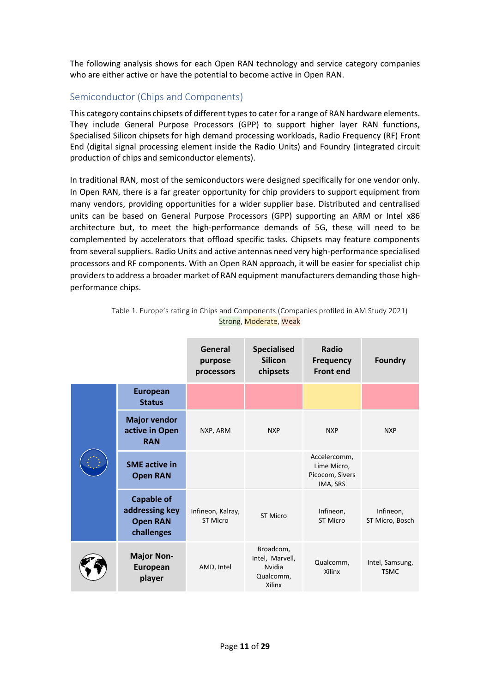The following analysis shows for each Open RAN technology and service category companies who are either active or have the potential to become active in Open RAN.

## <span id="page-10-0"></span>Semiconductor (Chips and Components)

This category contains chipsets of different types to cater for a range of RAN hardware elements. They include General Purpose Processors (GPP) to support higher layer RAN functions, Specialised Silicon chipsets for high demand processing workloads, Radio Frequency (RF) Front End (digital signal processing element inside the Radio Units) and Foundry (integrated circuit production of chips and semiconductor elements).

In traditional RAN, most of the semiconductors were designed specifically for one vendor only. In Open RAN, there is a far greater opportunity for chip providers to support equipment from many vendors, providing opportunities for a wider supplier base. Distributed and centralised units can be based on General Purpose Processors (GPP) supporting an ARM or Intel x86 architecture but, to meet the high-performance demands of 5G, these will need to be complemented by accelerators that offload specific tasks. Chipsets may feature components from several suppliers. Radio Units and active antennas need very high-performance specialised processors and RF components. With an Open RAN approach, it will be easier for specialist chip providers to address a broader market of RAN equipment manufacturers demanding those highperformance chips.

|  |                                                                      | General<br>purpose<br>processors | <b>Specialised</b><br><b>Silicon</b><br>chipsets              | Radio<br><b>Frequency</b><br><b>Front end</b>              | <b>Foundry</b>                 |
|--|----------------------------------------------------------------------|----------------------------------|---------------------------------------------------------------|------------------------------------------------------------|--------------------------------|
|  | <b>European</b><br><b>Status</b>                                     |                                  |                                                               |                                                            |                                |
|  | <b>Major vendor</b><br>active in Open<br><b>RAN</b>                  | NXP, ARM                         | <b>NXP</b>                                                    | <b>NXP</b>                                                 | <b>NXP</b>                     |
|  | <b>SME</b> active in<br><b>Open RAN</b>                              |                                  |                                                               | Accelercomm,<br>Lime Micro,<br>Picocom, Sivers<br>IMA, SRS |                                |
|  | <b>Capable of</b><br>addressing key<br><b>Open RAN</b><br>challenges | Infineon, Kalray,<br>ST Micro    | <b>ST Micro</b>                                               | Infineon,<br>ST Micro                                      | Infineon,<br>ST Micro, Bosch   |
|  | <b>Major Non-</b><br>European<br>player                              | AMD, Intel                       | Broadcom,<br>Intel, Marvell,<br>Nvidia<br>Qualcomm,<br>Xilinx | Qualcomm,<br>Xilinx                                        | Intel, Samsung,<br><b>TSMC</b> |

Table 1. Europe's rating in Chips and Components (Companies profiled in AM Study 2021) Strong, Moderate, Weak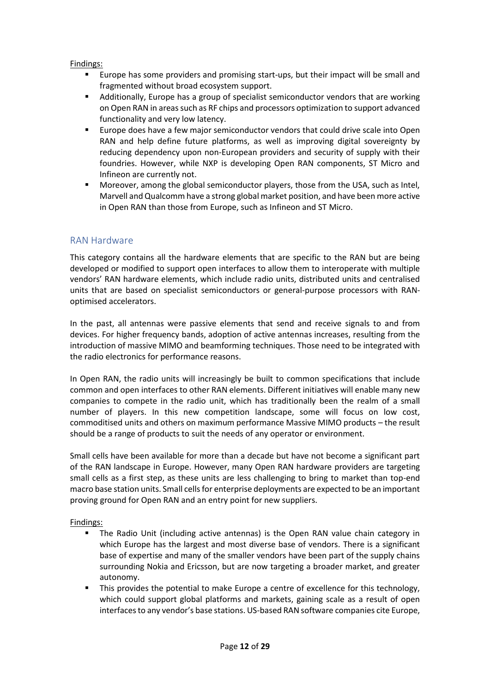#### Findings:

- Europe has some providers and promising start-ups, but their impact will be small and fragmented without broad ecosystem support.
- **■** Additionally, Europe has a group of specialist semiconductor vendors that are working on Open RAN in areas such as RF chips and processors optimization to support advanced functionality and very low latency.
- Europe does have a few major semiconductor vendors that could drive scale into Open RAN and help define future platforms, as well as improving digital sovereignty by reducing dependency upon non-European providers and security of supply with their foundries. However, while NXP is developing Open RAN components, ST Micro and Infineon are currently not.
- Moreover, among the global semiconductor players, those from the USA, such as Intel. Marvell and Qualcomm have a strong global market position, and have been more active in Open RAN than those from Europe, such as Infineon and ST Micro.

## <span id="page-11-0"></span>RAN Hardware

This category contains all the hardware elements that are specific to the RAN but are being developed or modified to support open interfaces to allow them to interoperate with multiple vendors' RAN hardware elements, which include radio units, distributed units and centralised units that are based on specialist semiconductors or general-purpose processors with RANoptimised accelerators.

In the past, all antennas were passive elements that send and receive signals to and from devices. For higher frequency bands, adoption of active antennas increases, resulting from the introduction of massive MIMO and beamforming techniques. Those need to be integrated with the radio electronics for performance reasons.

In Open RAN, the radio units will increasingly be built to common specifications that include common and open interfaces to other RAN elements. Different initiatives will enable many new companies to compete in the radio unit, which has traditionally been the realm of a small number of players. In this new competition landscape, some will focus on low cost, commoditised units and others on maximum performance Massive MIMO products – the result should be a range of products to suit the needs of any operator or environment.

Small cells have been available for more than a decade but have not become a significant part of the RAN landscape in Europe. However, many Open RAN hardware providers are targeting small cells as a first step, as these units are less challenging to bring to market than top-end macro base station units. Small cellsfor enterprise deployments are expected to be an important proving ground for Open RAN and an entry point for new suppliers.

- The Radio Unit (including active antennas) is the Open RAN value chain category in which Europe has the largest and most diverse base of vendors. There is a significant base of expertise and many of the smaller vendors have been part of the supply chains surrounding Nokia and Ericsson, but are now targeting a broader market, and greater autonomy.
- This provides the potential to make Europe a centre of excellence for this technology, which could support global platforms and markets, gaining scale as a result of open interfaces to any vendor's base stations. US-based RAN software companies cite Europe,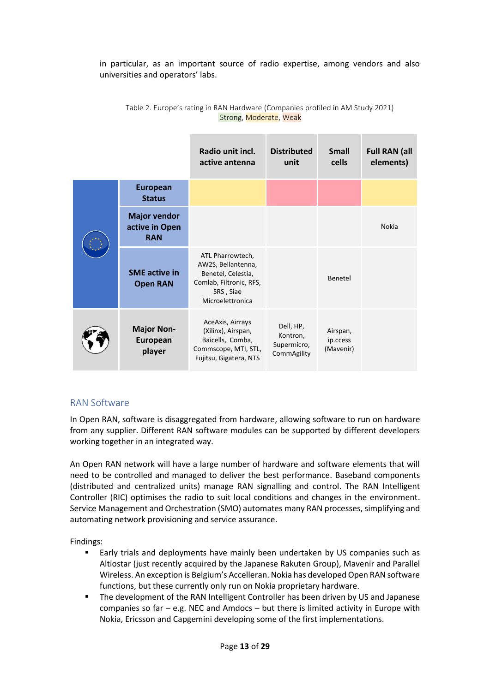in particular, as an important source of radio expertise, among vendors and also universities and operators' labs.

|  |                                                     | Radio unit incl.<br>active antenna                                                                                       | <b>Distributed</b><br>unit                          | <b>Small</b><br>cells             | <b>Full RAN (all</b><br>elements) |
|--|-----------------------------------------------------|--------------------------------------------------------------------------------------------------------------------------|-----------------------------------------------------|-----------------------------------|-----------------------------------|
|  | <b>European</b><br><b>Status</b>                    |                                                                                                                          |                                                     |                                   |                                   |
|  | <b>Major vendor</b><br>active in Open<br><b>RAN</b> |                                                                                                                          |                                                     |                                   | <b>Nokia</b>                      |
|  | <b>SME</b> active in<br><b>Open RAN</b>             | ATL Pharrowtech,<br>AW2S, Bellantenna,<br>Benetel, Celestia,<br>Comlab, Filtronic, RFS,<br>SRS, Siae<br>Microelettronica |                                                     | Benetel                           |                                   |
|  | <b>Major Non-</b><br>European<br>player             | AceAxis, Airrays<br>(Xilinx), Airspan,<br>Baicells, Comba,<br>Commscope, MTI, STL,<br>Fujitsu, Gigatera, NTS             | Dell, HP,<br>Kontron,<br>Supermicro,<br>CommAgility | Airspan,<br>ip.ccess<br>(Mavenir) |                                   |

Table 2. Europe's rating in RAN Hardware (Companies profiled in AM Study 2021) Strong, Moderate, Weak

## <span id="page-12-0"></span>RAN Software

In Open RAN, software is disaggregated from hardware, allowing software to run on hardware from any supplier. Different RAN software modules can be supported by different developers working together in an integrated way.

An Open RAN network will have a large number of hardware and software elements that will need to be controlled and managed to deliver the best performance. Baseband components (distributed and centralized units) manage RAN signalling and control. The RAN Intelligent Controller (RIC) optimises the radio to suit local conditions and changes in the environment. Service Management and Orchestration (SMO) automates many RAN processes, simplifying and automating network provisioning and service assurance.

- Early trials and deployments have mainly been undertaken by US companies such as Altiostar (just recently acquired by the Japanese Rakuten Group), Mavenir and Parallel Wireless. An exception is Belgium's Accelleran. Nokia has developed Open RAN software functions, but these currently only run on Nokia proprietary hardware.
- The development of the RAN Intelligent Controller has been driven by US and Japanese companies so far  $-$  e.g. NEC and Amdocs  $-$  but there is limited activity in Europe with Nokia, Ericsson and Capgemini developing some of the first implementations.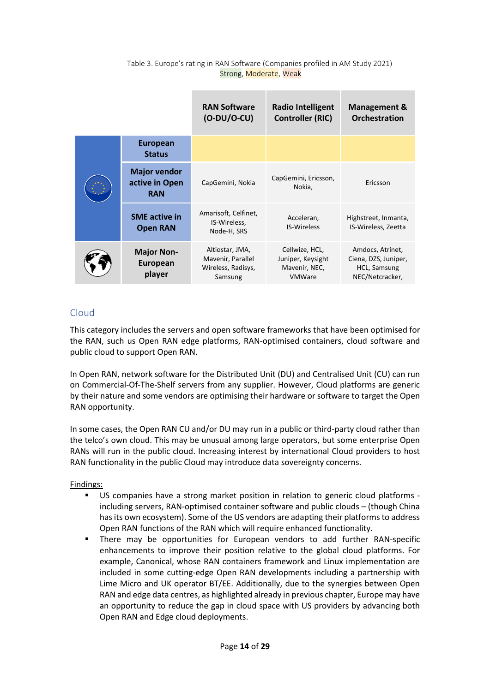|  |                                                     | <b>RAN Software</b><br>$(O-DU/O-CU)$                                  | <b>Radio Intelligent</b><br><b>Controller (RIC)</b>                   | Management &<br><b>Orchestration</b>                                        |
|--|-----------------------------------------------------|-----------------------------------------------------------------------|-----------------------------------------------------------------------|-----------------------------------------------------------------------------|
|  | <b>European</b><br><b>Status</b>                    |                                                                       |                                                                       |                                                                             |
|  | <b>Major vendor</b><br>active in Open<br><b>RAN</b> | CapGemini, Nokia                                                      | CapGemini, Ericsson,<br>Nokia,                                        | Ericsson                                                                    |
|  | <b>SME</b> active in<br><b>Open RAN</b>             | Amarisoft, Celfinet,<br>IS-Wireless,<br>Node-H, SRS                   | Acceleran,<br><b>IS-Wireless</b>                                      | Highstreet, Inmanta,<br>IS-Wireless, Zeetta                                 |
|  | <b>Major Non-</b><br>European<br>player             | Altiostar, JMA,<br>Mavenir, Parallel<br>Wireless, Radisys,<br>Samsung | Cellwize, HCL,<br>Juniper, Keysight<br>Mavenir, NEC,<br><b>VMWare</b> | Amdocs, Atrinet,<br>Ciena, DZS, Juniper,<br>HCL, Samsung<br>NEC/Netcracker, |

#### Table 3. Europe's rating in RAN Software (Companies profiled in AM Study 2021) Strong, Moderate, Weak

# <span id="page-13-0"></span>Cloud

This category includes the servers and open software frameworks that have been optimised for the RAN, such us Open RAN edge platforms, RAN-optimised containers, cloud software and public cloud to support Open RAN.

In Open RAN, network software for the Distributed Unit (DU) and Centralised Unit (CU) can run on Commercial-Of-The-Shelf servers from any supplier. However, Cloud platforms are generic by their nature and some vendors are optimising their hardware or software to target the Open RAN opportunity.

In some cases, the Open RAN CU and/or DU may run in a public or third-party cloud rather than the telco's own cloud. This may be unusual among large operators, but some enterprise Open RANs will run in the public cloud. Increasing interest by international Cloud providers to host RAN functionality in the public Cloud may introduce data sovereignty concerns.

- US companies have a strong market position in relation to generic cloud platforms including servers, RAN-optimised container software and public clouds – (though China has its own ecosystem). Some of the US vendors are adapting their platforms to address Open RAN functions of the RAN which will require enhanced functionality.
- There may be opportunities for European vendors to add further RAN-specific enhancements to improve their position relative to the global cloud platforms. For example, Canonical, whose RAN containers framework and Linux implementation are included in some cutting-edge Open RAN developments including a partnership with Lime Micro and UK operator BT/EE. Additionally, due to the synergies between Open RAN and edge data centres, as highlighted already in previous chapter, Europe may have an opportunity to reduce the gap in cloud space with US providers by advancing both Open RAN and Edge cloud deployments.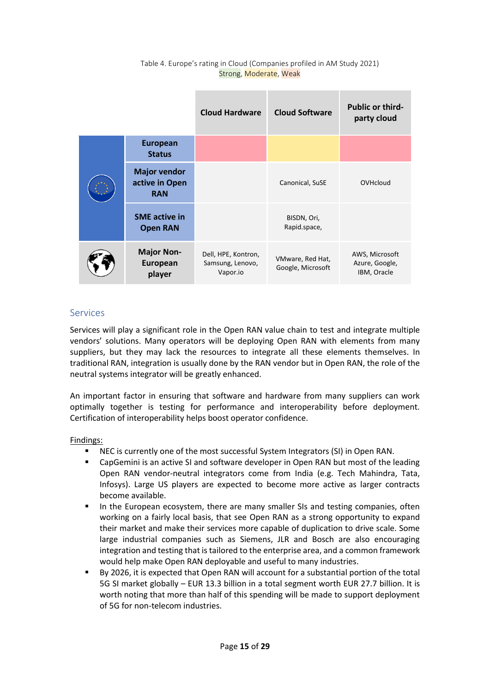|  |                                                     | <b>Cloud Hardware</b>                               | <b>Cloud Software</b>                 | <b>Public or third-</b><br>party cloud          |
|--|-----------------------------------------------------|-----------------------------------------------------|---------------------------------------|-------------------------------------------------|
|  | <b>European</b><br><b>Status</b>                    |                                                     |                                       |                                                 |
|  | <b>Major vendor</b><br>active in Open<br><b>RAN</b> |                                                     | Canonical, SuSE                       | OVHcloud                                        |
|  | <b>SME</b> active in<br><b>Open RAN</b>             |                                                     | BISDN, Ori,<br>Rapid.space,           |                                                 |
|  | <b>Major Non-</b><br>European<br>player             | Dell, HPE, Kontron,<br>Samsung, Lenovo,<br>Vapor.io | VMware, Red Hat,<br>Google, Microsoft | AWS, Microsoft<br>Azure, Google,<br>IBM, Oracle |

#### Table 4. Europe's rating in Cloud (Companies profiled in AM Study 2021) Strong, Moderate, Weak

# <span id="page-14-0"></span>Services

Services will play a significant role in the Open RAN value chain to test and integrate multiple vendors' solutions. Many operators will be deploying Open RAN with elements from many suppliers, but they may lack the resources to integrate all these elements themselves. In traditional RAN, integration is usually done by the RAN vendor but in Open RAN, the role of the neutral systems integrator will be greatly enhanced.

An important factor in ensuring that software and hardware from many suppliers can work optimally together is testing for performance and interoperability before deployment. Certification of interoperability helps boost operator confidence.

- NEC is currently one of the most successful System Integrators (SI) in Open RAN.
- CapGemini is an active SI and software developer in Open RAN but most of the leading Open RAN vendor-neutral integrators come from India (e.g. Tech Mahindra, Tata, Infosys). Large US players are expected to become more active as larger contracts become available.
- In the European ecosystem, there are many smaller SIs and testing companies, often working on a fairly local basis, that see Open RAN as a strong opportunity to expand their market and make their services more capable of duplication to drive scale. Some large industrial companies such as Siemens, JLR and Bosch are also encouraging integration and testing that is tailored to the enterprise area, and a common framework would help make Open RAN deployable and useful to many industries.
- By 2026, it is expected that Open RAN will account for a substantial portion of the total 5G SI market globally – EUR 13.3 billion in a total segment worth EUR 27.7 billion. It is worth noting that more than half of this spending will be made to support deployment of 5G for non-telecom industries.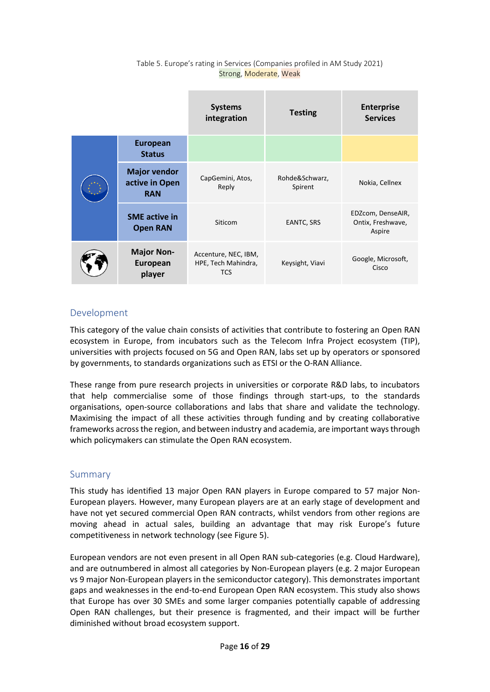|  |                                                     | <b>Systems</b><br>integration                             | <b>Testing</b>            | <b>Enterprise</b><br><b>Services</b>             |
|--|-----------------------------------------------------|-----------------------------------------------------------|---------------------------|--------------------------------------------------|
|  | <b>European</b><br><b>Status</b>                    |                                                           |                           |                                                  |
|  | <b>Major vendor</b><br>active in Open<br><b>RAN</b> | CapGemini, Atos,<br>Reply                                 | Rohde&Schwarz,<br>Spirent | Nokia, Cellnex                                   |
|  | <b>SME</b> active in<br><b>Open RAN</b>             | Siticom                                                   | EANTC, SRS                | EDZcom, DenseAIR,<br>Ontix, Freshwave,<br>Aspire |
|  | <b>Major Non-</b><br>European<br>player             | Accenture, NEC, IBM,<br>HPE, Tech Mahindra,<br><b>TCS</b> | Keysight, Viavi           | Google, Microsoft,<br>Cisco                      |

#### Table 5. Europe's rating in Services (Companies profiled in AM Study 2021) Strong, Moderate, Weak

# <span id="page-15-0"></span>Development

This category of the value chain consists of activities that contribute to fostering an Open RAN ecosystem in Europe, from incubators such as the Telecom Infra Project ecosystem (TIP), universities with projects focused on 5G and Open RAN, labs set up by operators or sponsored by governments, to standards organizations such as ETSI or the O-RAN Alliance.

These range from pure research projects in universities or corporate R&D labs, to incubators that help commercialise some of those findings through start-ups, to the standards organisations, open-source collaborations and labs that share and validate the technology. Maximising the impact of all these activities through funding and by creating collaborative frameworks across the region, and between industry and academia, are important ways through which policymakers can stimulate the Open RAN ecosystem.

## <span id="page-15-1"></span>Summary

This study has identified 13 major Open RAN players in Europe compared to 57 major Non-European players. However, many European players are at an early stage of development and have not yet secured commercial Open RAN contracts, whilst vendors from other regions are moving ahead in actual sales, building an advantage that may risk Europe's future competitiveness in network technology (see Figure 5).

European vendors are not even present in all Open RAN sub-categories (e.g. Cloud Hardware), and are outnumbered in almost all categories by Non-European players (e.g. 2 major European vs 9 major Non-European players in the semiconductor category). This demonstrates important gaps and weaknesses in the end-to-end European Open RAN ecosystem. This study also shows that Europe has over 30 SMEs and some larger companies potentially capable of addressing Open RAN challenges, but their presence is fragmented, and their impact will be further diminished without broad ecosystem support.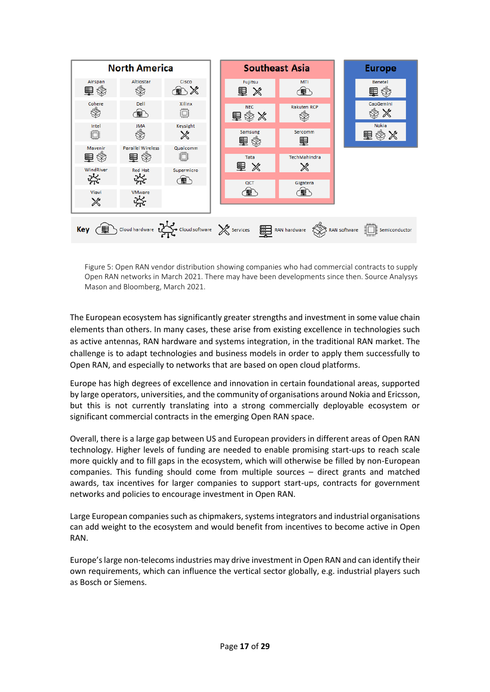

Figure 5: Open RAN vendor distribution showing companies who had commercial contracts to supply Open RAN networks in March 2021. There may have been developments since then. Source Analysys Mason and Bloomberg, March 2021.

The European ecosystem has significantly greater strengths and investment in some value chain elements than others. In many cases, these arise from existing excellence in technologies such as active antennas, RAN hardware and systems integration, in the traditional RAN market. The challenge is to adapt technologies and business models in order to apply them successfully to Open RAN, and especially to networks that are based on open cloud platforms.

Europe has high degrees of excellence and innovation in certain foundational areas, supported by large operators, universities, and the community of organisations around Nokia and Ericsson, but this is not currently translating into a strong commercially deployable ecosystem or significant commercial contracts in the emerging Open RAN space.

Overall, there is a large gap between US and European providers in different areas of Open RAN technology. Higher levels of funding are needed to enable promising start-ups to reach scale more quickly and to fill gaps in the ecosystem, which will otherwise be filled by non-European companies. This funding should come from multiple sources – direct grants and matched awards, tax incentives for larger companies to support start-ups, contracts for government networks and policies to encourage investment in Open RAN.

Large European companies such as chipmakers, systems integrators and industrial organisations can add weight to the ecosystem and would benefit from incentives to become active in Open RAN.

Europe's large non-telecoms industries may drive investment in Open RAN and can identify their own requirements, which can influence the vertical sector globally, e.g. industrial players such as Bosch or Siemens.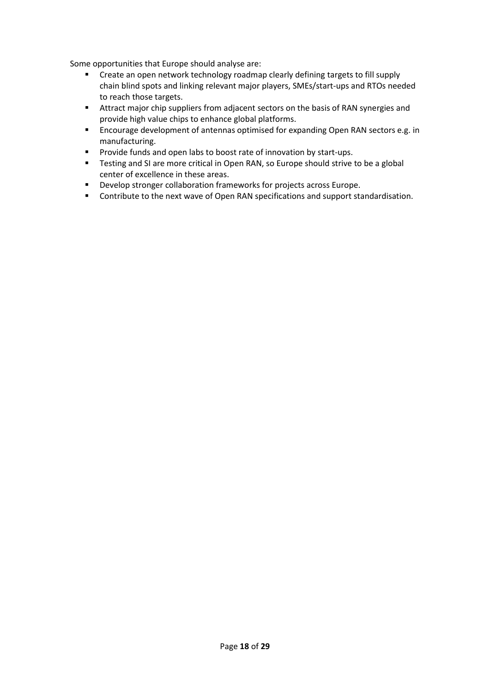Some opportunities that Europe should analyse are:

- Create an open network technology roadmap clearly defining targets to fill supply chain blind spots and linking relevant major players, SMEs/start-ups and RTOs needed to reach those targets.
- **EXECUTE:** Attract major chip suppliers from adjacent sectors on the basis of RAN synergies and provide high value chips to enhance global platforms.
- Encourage development of antennas optimised for expanding Open RAN sectors e.g. in manufacturing.
- Provide funds and open labs to boost rate of innovation by start-ups.
- Testing and SI are more critical in Open RAN, so Europe should strive to be a global center of excellence in these areas.
- Develop stronger collaboration frameworks for projects across Europe.
- Contribute to the next wave of Open RAN specifications and support standardisation.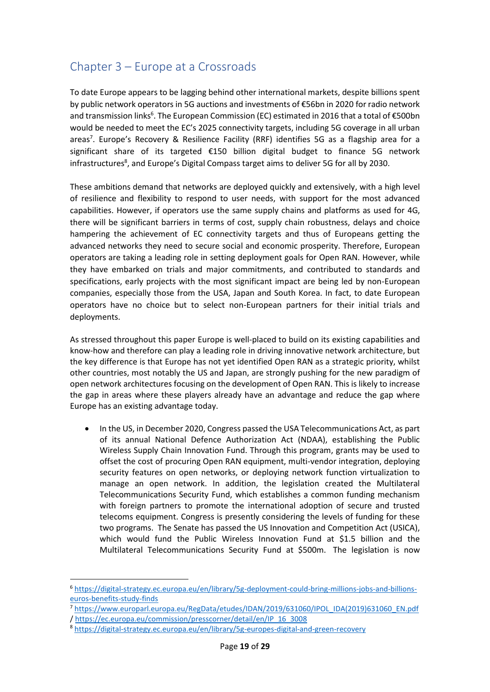# <span id="page-18-0"></span>Chapter 3 – Europe at a Crossroads

To date Europe appears to be lagging behind other international markets, despite billions spent by public network operators in 5G auctions and investments of €56bn in 2020 for radio network and transmission links<sup>6</sup>. The European Commission (EC) estimated in 2016 that a total of €500bn would be needed to meet the EC's 2025 connectivity targets, including 5G coverage in all urban areas<sup>7</sup>. Europe's Recovery & Resilience Facility (RRF) identifies 5G as a flagship area for a significant share of its targeted €150 billion digital budget to finance 5G network infrastructures<sup>8</sup>, and Europe's Digital Compass target aims to deliver 5G for all by 2030.

These ambitions demand that networks are deployed quickly and extensively, with a high level of resilience and flexibility to respond to user needs, with support for the most advanced capabilities. However, if operators use the same supply chains and platforms as used for 4G, there will be significant barriers in terms of cost, supply chain robustness, delays and choice hampering the achievement of EC connectivity targets and thus of Europeans getting the advanced networks they need to secure social and economic prosperity. Therefore, European operators are taking a leading role in setting deployment goals for Open RAN. However, while they have embarked on trials and major commitments, and contributed to standards and specifications, early projects with the most significant impact are being led by non-European companies, especially those from the USA, Japan and South Korea. In fact, to date European operators have no choice but to select non-European partners for their initial trials and deployments.

As stressed throughout this paper Europe is well-placed to build on its existing capabilities and know-how and therefore can play a leading role in driving innovative network architecture, but the key difference is that Europe has not yet identified Open RAN as a strategic priority, whilst other countries, most notably the US and Japan, are strongly pushing for the new paradigm of open network architectures focusing on the development of Open RAN. This is likely to increase the gap in areas where these players already have an advantage and reduce the gap where Europe has an existing advantage today.

• In the US, in December 2020, Congress passed the USA Telecommunications Act, as part of its annual National Defence Authorization Act (NDAA), establishing the Public Wireless Supply Chain Innovation Fund. Through this program, grants may be used to offset the cost of procuring Open RAN equipment, multi-vendor integration, deploying security features on open networks, or deploying network function virtualization to manage an open network. In addition, the legislation created the Multilateral Telecommunications Security Fund, which establishes a common funding mechanism with foreign partners to promote the international adoption of secure and trusted telecoms equipment. Congress is presently considering the levels of funding for these two programs. The Senate has passed the US Innovation and Competition Act (USICA), which would fund the Public Wireless Innovation Fund at \$1.5 billion and the Multilateral Telecommunications Security Fund at \$500m. The legislation is now

<sup>6</sup> [https://digital-strategy.ec.europa.eu/en/library/5g-deployment-could-bring-millions-jobs-and-billions](https://digital-strategy.ec.europa.eu/en/library/5g-deployment-could-bring-millions-jobs-and-billions-euros-benefits-study-finds)[euros-benefits-study-finds](https://digital-strategy.ec.europa.eu/en/library/5g-deployment-could-bring-millions-jobs-and-billions-euros-benefits-study-finds)

<sup>7</sup> [https://www.europarl.europa.eu/RegData/etudes/IDAN/2019/631060/IPOL\\_IDA\(2019\)631060\\_EN.pdf](https://www.europarl.europa.eu/RegData/etudes/IDAN/2019/631060/IPOL_IDA(2019)631060_EN.pdf)  / [https://ec.europa.eu/commission/presscorner/detail/en/IP\\_16\\_3008](https://ec.europa.eu/commission/presscorner/detail/en/IP_16_3008)

<sup>&</sup>lt;sup>8</sup> <https://digital-strategy.ec.europa.eu/en/library/5g-europes-digital-and-green-recovery>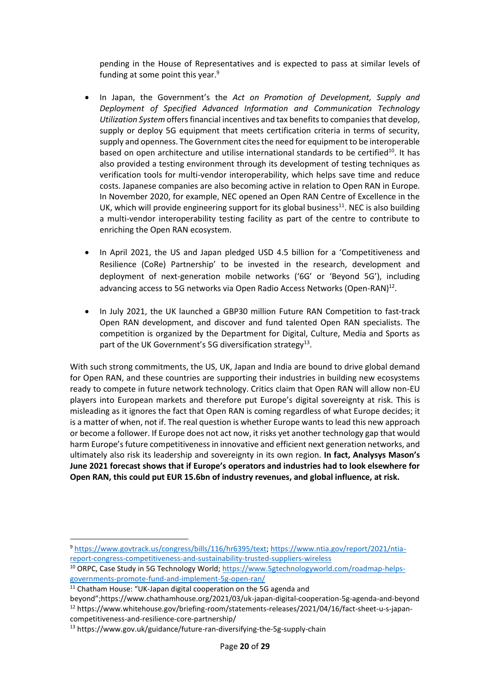pending in the House of Representatives and is expected to pass at similar levels of funding at some point this year. $9$ 

- In Japan, the Government's the *Act on Promotion of Development, Supply and Deployment of Specified Advanced Information and Communication Technology Utilization System* offers financial incentives and tax benefitsto companies that develop, supply or deploy 5G equipment that meets certification criteria in terms of security, supply and openness. The Government cites the need for equipment to be interoperable based on open architecture and utilise international standards to be certified<sup>10</sup>. It has also provided a testing environment through its development of testing techniques as verification tools for multi-vendor interoperability, which helps save time and reduce costs. Japanese companies are also becoming active in relation to Open RAN in Europe. In November 2020, for example, NEC opened an Open RAN Centre of Excellence in the UK, which will provide engineering support for its global business $^{11}$ . NEC is also building a multi-vendor interoperability testing facility as part of the centre to contribute to enriching the Open RAN ecosystem.
- In April 2021, the US and Japan pledged USD 4.5 billion for a 'Competitiveness and Resilience (CoRe) Partnership' to be invested in the research, development and deployment of next-generation mobile networks ('6G' or 'Beyond 5G'), including advancing access to 5G networks via Open Radio Access Networks (Open-RAN)<sup>12</sup>.
- In July 2021, the UK launched a GBP30 million Future RAN Competition to fast-track Open RAN development, and discover and fund talented Open RAN specialists. The competition is organized by the Department for Digital, Culture, Media and Sports as part of the UK Government's 5G diversification strategy<sup>13</sup>.

With such strong commitments, the US, UK, Japan and India are bound to drive global demand for Open RAN, and these countries are supporting their industries in building new ecosystems ready to compete in future network technology. Critics claim that Open RAN will allow non-EU players into European markets and therefore put Europe's digital sovereignty at risk. This is misleading as it ignores the fact that Open RAN is coming regardless of what Europe decides; it is a matter of when, not if. The real question is whether Europe wants to lead this new approach or become a follower. If Europe does not act now, it risks yet another technology gap that would harm Europe's future competitiveness in innovative and efficient next generation networks, and ultimately also risk its leadership and sovereignty in its own region. **In fact, Analysys Mason's June 2021 forecast shows that if Europe's operators and industries had to look elsewhere for Open RAN, this could put EUR 15.6bn of industry revenues, and global influence, at risk.**

<sup>9</sup> [https://www.govtrack.us/congress/bills/116/hr6395/text;](https://www.govtrack.us/congress/bills/116/hr6395/text) [https://www.ntia.gov/report/2021/ntia](https://www.ntia.gov/report/2021/ntia-report-congress-competitiveness-and-sustainability-trusted-suppliers-wireless)[report-congress-competitiveness-and-sustainability-trusted-suppliers-wireless](https://www.ntia.gov/report/2021/ntia-report-congress-competitiveness-and-sustainability-trusted-suppliers-wireless)

<sup>&</sup>lt;sup>10</sup> ORPC, Case Study in 5G Technology World; [https://www.5gtechnologyworld.com/roadmap-helps](https://www.5gtechnologyworld.com/roadmap-helps-governments-promote-fund-and-implement-5g-open-ran/)[governments-promote-fund-and-implement-5g-open-ran/](https://www.5gtechnologyworld.com/roadmap-helps-governments-promote-fund-and-implement-5g-open-ran/)

<sup>&</sup>lt;sup>11</sup> Chatham House: "UK-Japan digital cooperation on the 5G agenda and

beyond";https://www.chathamhouse.org/2021/03/uk-japan-digital-cooperation-5g-agenda-and-beyond <sup>12</sup> https://www.whitehouse.gov/briefing-room/statements-releases/2021/04/16/fact-sheet-u-s-japan-

competitiveness-and-resilience-core-partnership/

<sup>13</sup> https://www.gov.uk/guidance/future-ran-diversifying-the-5g-supply-chain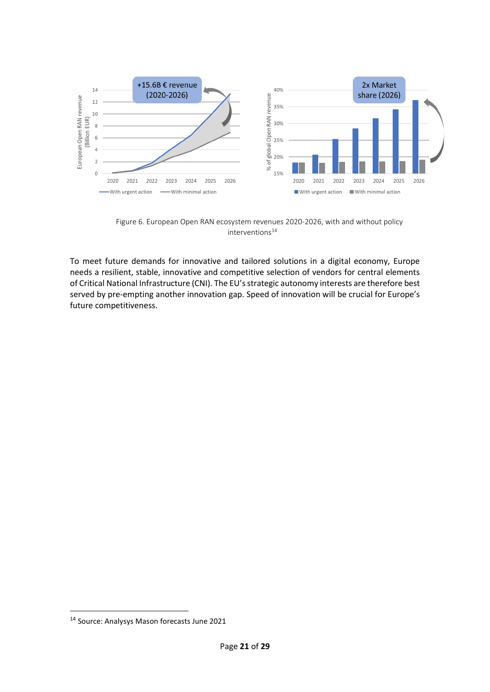

Figure 6. European Open RAN ecosystem revenues 2020-2026, with and without policy  $interventions<sup>14</sup>$ 

To meet future demands for innovative and tailored solutions in a digital economy, Europe needs a resilient, stable, innovative and competitive selection of vendors for central elements of Critical National Infrastructure (CNI). The EU's strategic autonomy interests are therefore best served by pre-empting another innovation gap. Speed of innovation will be crucial for Europe's future competitiveness.

<sup>14</sup> Source: Analysys Mason forecasts June 2021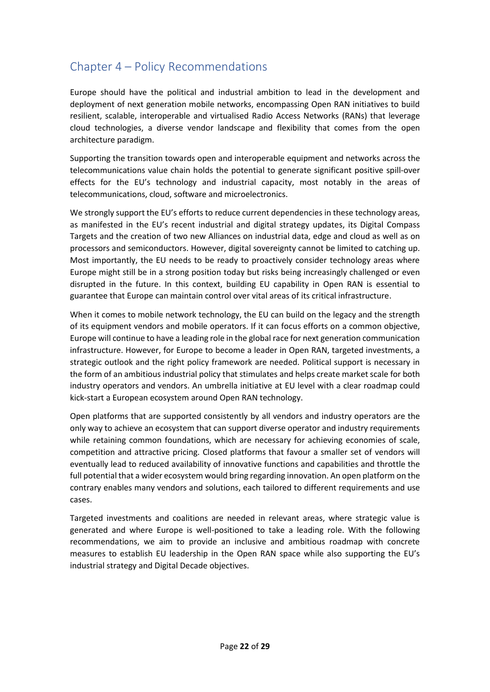# <span id="page-21-0"></span>Chapter 4 – Policy Recommendations

Europe should have the political and industrial ambition to lead in the development and deployment of next generation mobile networks, encompassing Open RAN initiatives to build resilient, scalable, interoperable and virtualised Radio Access Networks (RANs) that leverage cloud technologies, a diverse vendor landscape and flexibility that comes from the open architecture paradigm.

Supporting the transition towards open and interoperable equipment and networks across the telecommunications value chain holds the potential to generate significant positive spill-over effects for the EU's technology and industrial capacity, most notably in the areas of telecommunications, cloud, software and microelectronics.

We strongly support the EU's efforts to reduce current dependencies in these technology areas, as manifested in the EU's recent industrial and digital strategy updates, its Digital Compass Targets and the creation of two new Alliances on industrial data, edge and cloud as well as on processors and semiconductors. However, digital sovereignty cannot be limited to catching up. Most importantly, the EU needs to be ready to proactively consider technology areas where Europe might still be in a strong position today but risks being increasingly challenged or even disrupted in the future. In this context, building EU capability in Open RAN is essential to guarantee that Europe can maintain control over vital areas of its critical infrastructure.

When it comes to mobile network technology, the EU can build on the legacy and the strength of its equipment vendors and mobile operators. If it can focus efforts on a common objective, Europe will continue to have a leading role in the global race for next generation communication infrastructure. However, for Europe to become a leader in Open RAN, targeted investments, a strategic outlook and the right policy framework are needed. Political support is necessary in the form of an ambitious industrial policy that stimulates and helps create market scale for both industry operators and vendors. An umbrella initiative at EU level with a clear roadmap could kick-start a European ecosystem around Open RAN technology.

Open platforms that are supported consistently by all vendors and industry operators are the only way to achieve an ecosystem that can support diverse operator and industry requirements while retaining common foundations, which are necessary for achieving economies of scale, competition and attractive pricing. Closed platforms that favour a smaller set of vendors will eventually lead to reduced availability of innovative functions and capabilities and throttle the full potential that a wider ecosystem would bring regarding innovation. An open platform on the contrary enables many vendors and solutions, each tailored to different requirements and use cases.

Targeted investments and coalitions are needed in relevant areas, where strategic value is generated and where Europe is well-positioned to take a leading role. With the following recommendations, we aim to provide an inclusive and ambitious roadmap with concrete measures to establish EU leadership in the Open RAN space while also supporting the EU's industrial strategy and Digital Decade objectives.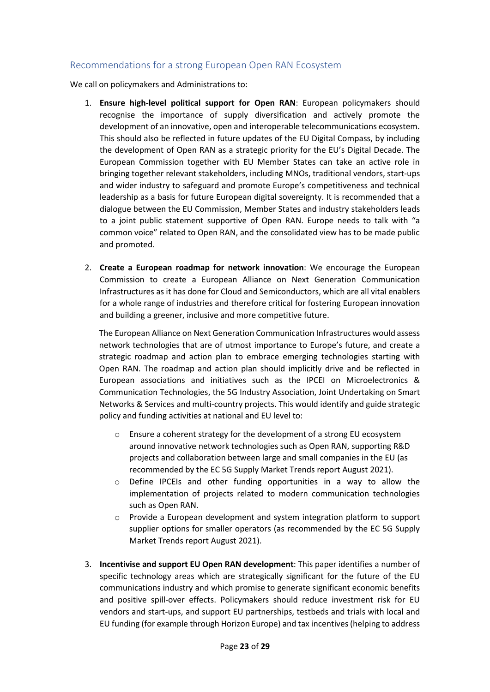## Recommendations for a strong European Open RAN Ecosystem

We call on policymakers and Administrations to:

- 1. **Ensure high-level political support for Open RAN**: European policymakers should recognise the importance of supply diversification and actively promote the development of an innovative, open and interoperable telecommunications ecosystem. This should also be reflected in future updates of the EU Digital Compass, by including the development of Open RAN as a strategic priority for the EU's Digital Decade. The European Commission together with EU Member States can take an active role in bringing together relevant stakeholders, including MNOs, traditional vendors, start-ups and wider industry to safeguard and promote Europe's competitiveness and technical leadership as a basis for future European digital sovereignty. It is recommended that a dialogue between the EU Commission, Member States and industry stakeholders leads to a joint public statement supportive of Open RAN. Europe needs to talk with "a common voice" related to Open RAN, and the consolidated view has to be made public and promoted.
- 2. **Create a European roadmap for network innovation**: We encourage the European Commission to create a European Alliance on Next Generation Communication Infrastructures as it has done for Cloud and Semiconductors, which are all vital enablers for a whole range of industries and therefore critical for fostering European innovation and building a greener, inclusive and more competitive future.

The European Alliance on Next Generation Communication Infrastructures would assess network technologies that are of utmost importance to Europe's future, and create a strategic roadmap and action plan to embrace emerging technologies starting with Open RAN. The roadmap and action plan should implicitly drive and be reflected in European associations and initiatives such as the IPCEI on Microelectronics & Communication Technologies, the 5G Industry Association, Joint Undertaking on Smart Networks & Services and multi-country projects. This would identify and guide strategic policy and funding activities at national and EU level to:

- o Ensure a coherent strategy for the development of a strong EU ecosystem around innovative network technologies such as Open RAN, supporting R&D projects and collaboration between large and small companies in the EU (as recommended by the EC 5G Supply Market Trends report August 2021).
- o Define IPCEIs and other funding opportunities in a way to allow the implementation of projects related to modern communication technologies such as Open RAN.
- $\circ$  Provide a European development and system integration platform to support supplier options for smaller operators (as recommended by the EC 5G Supply Market Trends report August 2021).
- 3. **Incentivise and support EU Open RAN development**: This paper identifies a number of specific technology areas which are strategically significant for the future of the EU communications industry and which promise to generate significant economic benefits and positive spill-over effects. Policymakers should reduce investment risk for EU vendors and start-ups, and support EU partnerships, testbeds and trials with local and EU funding (for example through Horizon Europe) and tax incentives(helping to address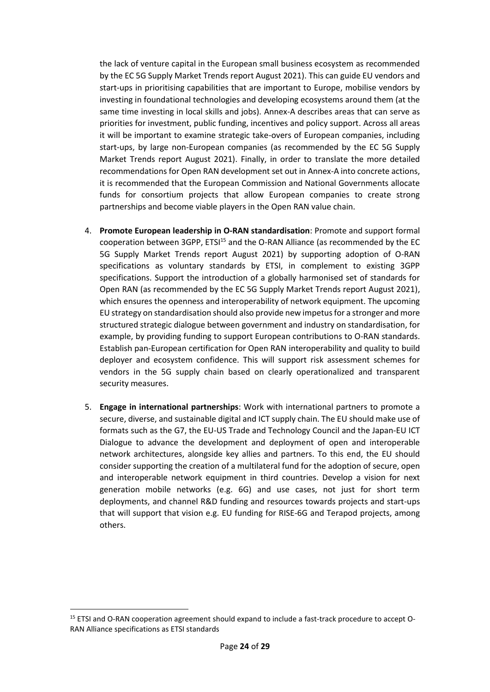the lack of venture capital in the European small business ecosystem as recommended by the EC 5G Supply Market Trends report August 2021). This can guide EU vendors and start-ups in prioritising capabilities that are important to Europe, mobilise vendors by investing in foundational technologies and developing ecosystems around them (at the same time investing in local skills and jobs). Annex-A describes areas that can serve as priorities for investment, public funding, incentives and policy support. Across all areas it will be important to examine strategic take-overs of European companies, including start-ups, by large non-European companies (as recommended by the EC 5G Supply Market Trends report August 2021). Finally, in order to translate the more detailed recommendations for Open RAN development set out in Annex-A into concrete actions, it is recommended that the European Commission and National Governments allocate funds for consortium projects that allow European companies to create strong partnerships and become viable players in the Open RAN value chain.

- 4. **Promote European leadership in O-RAN standardisation**: Promote and support formal cooperation between 3GPP, ETSI<sup>15</sup> and the O-RAN Alliance (as recommended by the EC 5G Supply Market Trends report August 2021) by supporting adoption of O-RAN specifications as voluntary standards by ETSI, in complement to existing 3GPP specifications. Support the introduction of a globally harmonised set of standards for Open RAN (as recommended by the EC 5G Supply Market Trends report August 2021), which ensures the openness and interoperability of network equipment. The upcoming EU strategy on standardisation should also provide new impetus for a stronger and more structured strategic dialogue between government and industry on standardisation, for example, by providing funding to support European contributions to O-RAN standards. Establish pan-European certification for Open RAN interoperability and quality to build deployer and ecosystem confidence. This will support risk assessment schemes for vendors in the 5G supply chain based on clearly operationalized and transparent security measures.
- 5. **Engage in international partnerships**: Work with international partners to promote a secure, diverse, and sustainable digital and ICT supply chain. The EU should make use of formats such as the G7, the EU-US Trade and Technology Council and the Japan-EU ICT Dialogue to advance the development and deployment of open and interoperable network architectures, alongside key allies and partners. To this end, the EU should consider supporting the creation of a multilateral fund for the adoption of secure, open and interoperable network equipment in third countries. Develop a vision for next generation mobile networks (e.g. 6G) and use cases, not just for short term deployments, and channel R&D funding and resources towards projects and start-ups that will support that vision e.g. EU funding for RISE-6G and Terapod projects, among others.

<sup>&</sup>lt;sup>15</sup> ETSI and O-RAN cooperation agreement should expand to include a fast-track procedure to accept O-RAN Alliance specifications as ETSI standards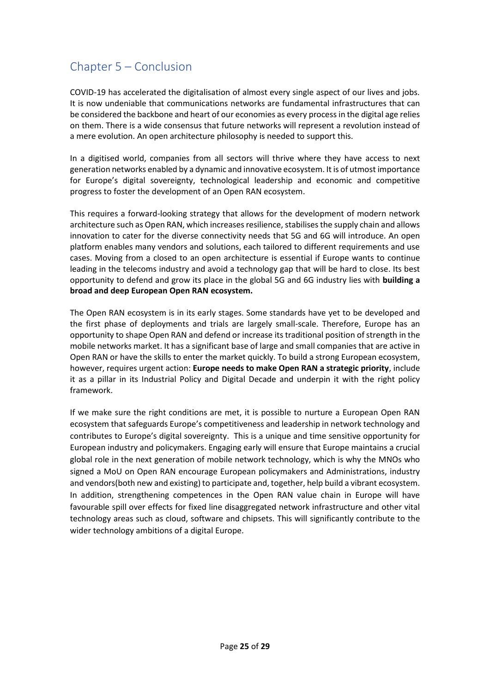# <span id="page-24-0"></span>Chapter 5 – Conclusion

COVID-19 has accelerated the digitalisation of almost every single aspect of our lives and jobs. It is now undeniable that communications networks are fundamental infrastructures that can be considered the backbone and heart of our economies as every process in the digital age relies on them. There is a wide consensus that future networks will represent a revolution instead of a mere evolution. An open architecture philosophy is needed to support this.

In a digitised world, companies from all sectors will thrive where they have access to next generation networks enabled by a dynamic and innovative ecosystem. It is of utmost importance for Europe's digital sovereignty, technological leadership and economic and competitive progress to foster the development of an Open RAN ecosystem.

This requires a forward-looking strategy that allows for the development of modern network architecture such as Open RAN, which increases resilience, stabilises the supply chain and allows innovation to cater for the diverse connectivity needs that 5G and 6G will introduce. An open platform enables many vendors and solutions, each tailored to different requirements and use cases. Moving from a closed to an open architecture is essential if Europe wants to continue leading in the telecoms industry and avoid a technology gap that will be hard to close. Its best opportunity to defend and grow its place in the global 5G and 6G industry lies with **building a broad and deep European Open RAN ecosystem.**

The Open RAN ecosystem is in its early stages. Some standards have yet to be developed and the first phase of deployments and trials are largely small-scale. Therefore, Europe has an opportunity to shape Open RAN and defend or increase its traditional position of strength in the mobile networks market. It has a significant base of large and small companies that are active in Open RAN or have the skills to enter the market quickly. To build a strong European ecosystem, however, requires urgent action: **Europe needs to make Open RAN a strategic priority**, include it as a pillar in its Industrial Policy and Digital Decade and underpin it with the right policy framework.

If we make sure the right conditions are met, it is possible to nurture a European Open RAN ecosystem that safeguards Europe's competitiveness and leadership in network technology and contributes to Europe's digital sovereignty. This is a unique and time sensitive opportunity for European industry and policymakers. Engaging early will ensure that Europe maintains a crucial global role in the next generation of mobile network technology, which is why the MNOs who signed a MoU on Open RAN encourage European policymakers and Administrations, industry and vendors(both new and existing) to participate and, together, help build a vibrant ecosystem. In addition, strengthening competences in the Open RAN value chain in Europe will have favourable spill over effects for fixed line disaggregated network infrastructure and other vital technology areas such as cloud, software and chipsets. This will significantly contribute to the wider technology ambitions of a digital Europe.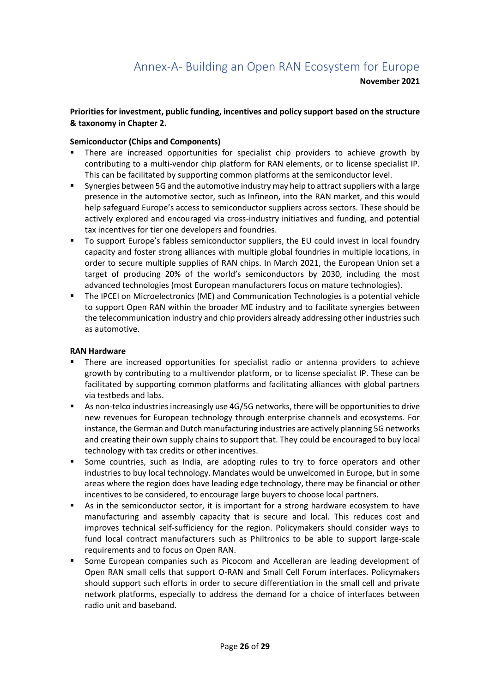#### <span id="page-25-0"></span>**Priorities for investment, public funding, incentives and policy support based on the structure & taxonomy in Chapter 2.**

#### **Semiconductor (Chips and Components)**

- There are increased opportunities for specialist chip providers to achieve growth by contributing to a multi-vendor chip platform for RAN elements, or to license specialist IP. This can be facilitated by supporting common platforms at the semiconductor level.
- Synergies between 5G and the automotive industry may help to attract suppliers with a large presence in the automotive sector, such as Infineon, into the RAN market, and this would help safeguard Europe's access to semiconductor suppliers across sectors. These should be actively explored and encouraged via cross-industry initiatives and funding, and potential tax incentives for tier one developers and foundries.
- To support Europe's fabless semiconductor suppliers, the EU could invest in local foundry capacity and foster strong alliances with multiple global foundries in multiple locations, in order to secure multiple supplies of RAN chips. In March 2021, the European Union set a target of producing 20% of the world's semiconductors by 2030, including the most advanced technologies (most European manufacturers focus on mature technologies).
- The IPCEI on Microelectronics (ME) and Communication Technologies is a potential vehicle to support Open RAN within the broader ME industry and to facilitate synergies between the telecommunication industry and chip providers already addressing other industries such as automotive.

#### **RAN Hardware**

- There are increased opportunities for specialist radio or antenna providers to achieve growth by contributing to a multivendor platform, or to license specialist IP. These can be facilitated by supporting common platforms and facilitating alliances with global partners via testbeds and labs.
- As non-telco industries increasingly use 4G/5G networks, there will be opportunities to drive new revenues for European technology through enterprise channels and ecosystems. For instance, the German and Dutch manufacturing industries are actively planning 5G networks and creating their own supply chains to support that. They could be encouraged to buy local technology with tax credits or other incentives.
- Some countries, such as India, are adopting rules to try to force operators and other industries to buy local technology. Mandates would be unwelcomed in Europe, but in some areas where the region does have leading edge technology, there may be financial or other incentives to be considered, to encourage large buyers to choose local partners.
- As in the semiconductor sector, it is important for a strong hardware ecosystem to have manufacturing and assembly capacity that is secure and local. This reduces cost and improves technical self-sufficiency for the region. Policymakers should consider ways to fund local contract manufacturers such as Philtronics to be able to support large-scale requirements and to focus on Open RAN.
- Some European companies such as Picocom and Accelleran are leading development of Open RAN small cells that support O-RAN and Small Cell Forum interfaces. Policymakers should support such efforts in order to secure differentiation in the small cell and private network platforms, especially to address the demand for a choice of interfaces between radio unit and baseband.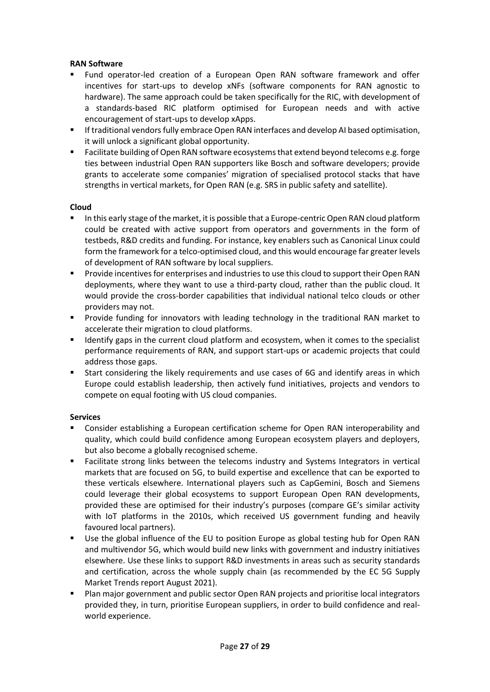#### **RAN Software**

- Fund operator-led creation of a European Open RAN software framework and offer incentives for start-ups to develop xNFs (software components for RAN agnostic to hardware). The same approach could be taken specifically for the RIC, with development of a standards-based RIC platform optimised for European needs and with active encouragement of start-ups to develop xApps.
- **E** If traditional vendors fully embrace Open RAN interfaces and develop AI based optimisation, it will unlock a significant global opportunity.
- Facilitate building of Open RAN software ecosystems that extend beyond telecoms e.g. forge ties between industrial Open RAN supporters like Bosch and software developers; provide grants to accelerate some companies' migration of specialised protocol stacks that have strengths in vertical markets, for Open RAN (e.g. SRS in public safety and satellite).

#### **Cloud**

- In this early stage of the market, it is possible that a Europe-centric Open RAN cloud platform could be created with active support from operators and governments in the form of testbeds, R&D credits and funding. For instance, key enablers such as Canonical Linux could form the framework for a telco-optimised cloud, and this would encourage far greater levels of development of RAN software by local suppliers.
- **•** Provide incentives for enterprises and industries to use this cloud to support their Open RAN deployments, where they want to use a third-party cloud, rather than the public cloud. It would provide the cross-border capabilities that individual national telco clouds or other providers may not.
- Provide funding for innovators with leading technology in the traditional RAN market to accelerate their migration to cloud platforms.
- Identify gaps in the current cloud platform and ecosystem, when it comes to the specialist performance requirements of RAN, and support start-ups or academic projects that could address those gaps.
- Start considering the likely requirements and use cases of 6G and identify areas in which Europe could establish leadership, then actively fund initiatives, projects and vendors to compete on equal footing with US cloud companies.

#### **Services**

- Consider establishing a European certification scheme for Open RAN interoperability and quality, which could build confidence among European ecosystem players and deployers, but also become a globally recognised scheme.
- Facilitate strong links between the telecoms industry and Systems Integrators in vertical markets that are focused on 5G, to build expertise and excellence that can be exported to these verticals elsewhere. International players such as CapGemini, Bosch and Siemens could leverage their global ecosystems to support European Open RAN developments, provided these are optimised for their industry's purposes (compare GE's similar activity with IoT platforms in the 2010s, which received US government funding and heavily favoured local partners).
- Use the global influence of the EU to position Europe as global testing hub for Open RAN and multivendor 5G, which would build new links with government and industry initiatives elsewhere. Use these links to support R&D investments in areas such as security standards and certification, across the whole supply chain (as recommended by the EC 5G Supply Market Trends report August 2021).
- Plan major government and public sector Open RAN projects and prioritise local integrators provided they, in turn, prioritise European suppliers, in order to build confidence and realworld experience.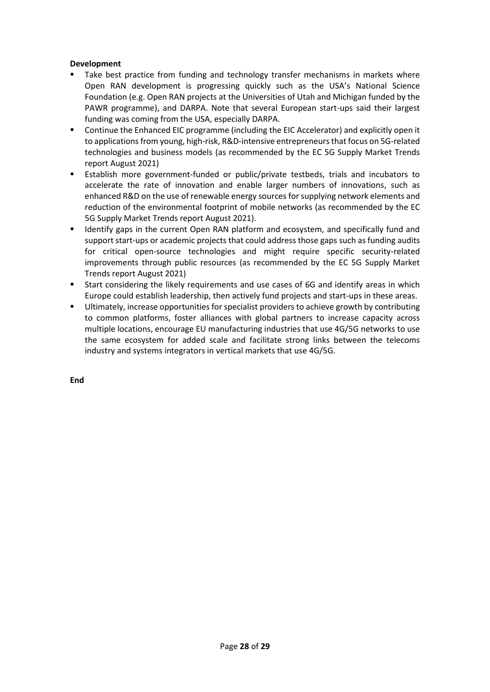#### **Development**

- Take best practice from funding and technology transfer mechanisms in markets where Open RAN development is progressing quickly such as the USA's National Science Foundation (e.g. Open RAN projects at the Universities of Utah and Michigan funded by the PAWR programme), and DARPA. Note that several European start-ups said their largest funding was coming from the USA, especially DARPA.
- Continue the Enhanced EIC programme (including the EIC Accelerator) and explicitly open it to applications from young, high-risk, R&D-intensive entrepreneurs that focus on 5G-related technologies and business models (as recommended by the EC 5G Supply Market Trends report August 2021)
- Establish more government-funded or public/private testbeds, trials and incubators to accelerate the rate of innovation and enable larger numbers of innovations, such as enhanced R&D on the use of renewable energy sources for supplying network elements and reduction of the environmental footprint of mobile networks (as recommended by the EC 5G Supply Market Trends report August 2021).
- Identify gaps in the current Open RAN platform and ecosystem, and specifically fund and support start-ups or academic projects that could address those gaps such as funding audits for critical open-source technologies and might require specific security-related improvements through public resources (as recommended by the EC 5G Supply Market Trends report August 2021)
- Start considering the likely requirements and use cases of 6G and identify areas in which Europe could establish leadership, then actively fund projects and start-ups in these areas.
- Ultimately, increase opportunities for specialist providers to achieve growth by contributing to common platforms, foster alliances with global partners to increase capacity across multiple locations, encourage EU manufacturing industries that use 4G/5G networks to use the same ecosystem for added scale and facilitate strong links between the telecoms industry and systems integrators in vertical markets that use 4G/5G.

**End**